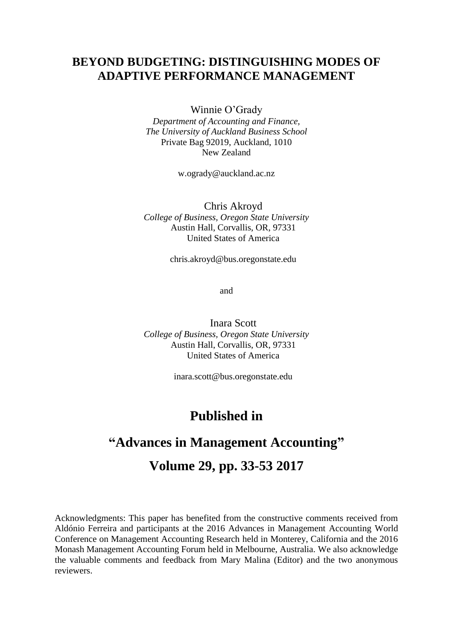## **BEYOND BUDGETING: DISTINGUISHING MODES OF ADAPTIVE PERFORMANCE MANAGEMENT**

Winnie O'Grady

*Department of Accounting and Finance, The University of Auckland Business School* Private Bag 92019, Auckland, 1010 New Zealand

[w.ogrady@auckland.ac.nz](mailto:w.ogrady@auckland.ac.nz)

Chris Akroyd *College of Business, Oregon State University* Austin Hall, Corvallis, OR, 97331 United States of America

[chris.akroyd@bus.oregonstate.edu](mailto:chris.akroyd@bus.oregonstate.edu)

and

Inara Scott *College of Business, Oregon State University* Austin Hall, Corvallis, OR, 97331 United States of America

[inara.scott@bus.oregonstate.edu](mailto:inara.scott@bus.oregonstate.edu)

# **Published in**

## **"Advances in Management Accounting"**

# **Volume 29, pp. 33-53 2017**

Acknowledgments: This paper has benefited from the constructive comments received from Aldónio Ferreira and participants at the 2016 Advances in Management Accounting World Conference on Management Accounting Research held in Monterey, California and the 2016 Monash Management Accounting Forum held in Melbourne, Australia. We also acknowledge the valuable comments and feedback from Mary Malina (Editor) and the two anonymous reviewers.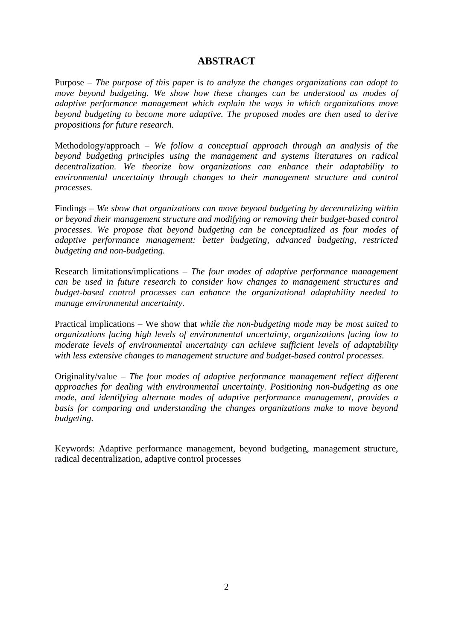## **ABSTRACT**

Purpose – *The purpose of this paper is to analyze the changes organizations can adopt to move beyond budgeting. We show how these changes can be understood as modes of adaptive performance management which explain the ways in which organizations move beyond budgeting to become more adaptive. The proposed modes are then used to derive propositions for future research.*

Methodology/approach – *We follow a conceptual approach through an analysis of the beyond budgeting principles using the management and systems literatures on radical decentralization. We theorize how organizations can enhance their adaptability to environmental uncertainty through changes to their management structure and control processes.*

Findings – *We show that organizations can move beyond budgeting by decentralizing within or beyond their management structure and modifying or removing their budget-based control processes. We propose that beyond budgeting can be conceptualized as four modes of adaptive performance management: better budgeting, advanced budgeting, restricted budgeting and non-budgeting.* 

Research limitations/implications – *The four modes of adaptive performance management can be used in future research to consider how changes to management structures and budget-based control processes can enhance the organizational adaptability needed to manage environmental uncertainty.*

Practical implications – We show that *while the non-budgeting mode may be most suited to organizations facing high levels of environmental uncertainty, organizations facing low to moderate levels of environmental uncertainty can achieve sufficient levels of adaptability with less extensive changes to management structure and budget-based control processes.* 

Originality/value – *The four modes of adaptive performance management reflect different approaches for dealing with environmental uncertainty. Positioning non-budgeting as one mode, and identifying alternate modes of adaptive performance management, provides a basis for comparing and understanding the changes organizations make to move beyond budgeting.* 

Keywords: Adaptive performance management, beyond budgeting, management structure, radical decentralization, adaptive control processes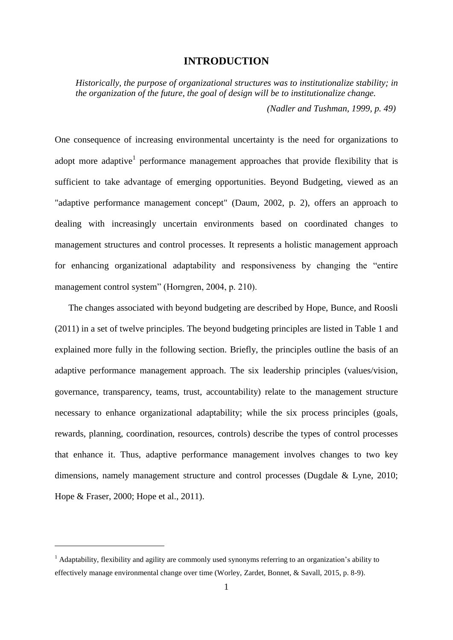### **INTRODUCTION**

*Historically, the purpose of organizational structures was to institutionalize stability; in the organization of the future, the goal of design will be to institutionalize change. (Nadler and Tushman, 1999, p. 49)*

One consequence of increasing environmental uncertainty is the need for organizations to adopt more adaptive<sup>1</sup> performance management approaches that provide flexibility that is sufficient to take advantage of emerging opportunities. Beyond Budgeting, viewed as an "adaptive performance management concept" (Daum, 2002, p. 2), offers an approach to dealing with increasingly uncertain environments based on coordinated changes to management structures and control processes. It represents a holistic management approach for enhancing organizational adaptability and responsiveness by changing the "entire management control system" (Horngren, 2004, p. 210).

The changes associated with beyond budgeting are described by Hope, Bunce, and Roosli (2011) in a set of twelve principles. The beyond budgeting principles are listed in Table 1 and explained more fully in the following section. Briefly, the principles outline the basis of an adaptive performance management approach. The six leadership principles (values/vision, governance, transparency, teams, trust, accountability) relate to the management structure necessary to enhance organizational adaptability; while the six process principles (goals, rewards, planning, coordination, resources, controls) describe the types of control processes that enhance it. Thus, adaptive performance management involves changes to two key dimensions, namely management structure and control processes (Dugdale & Lyne, 2010; Hope & Fraser, 2000; Hope et al., 2011).

<u>.</u>

<sup>&</sup>lt;sup>1</sup> Adaptability, flexibility and agility are commonly used synonyms referring to an organization's ability to effectively manage environmental change over time (Worley, Zardet, Bonnet, & Savall, 2015, p. 8-9).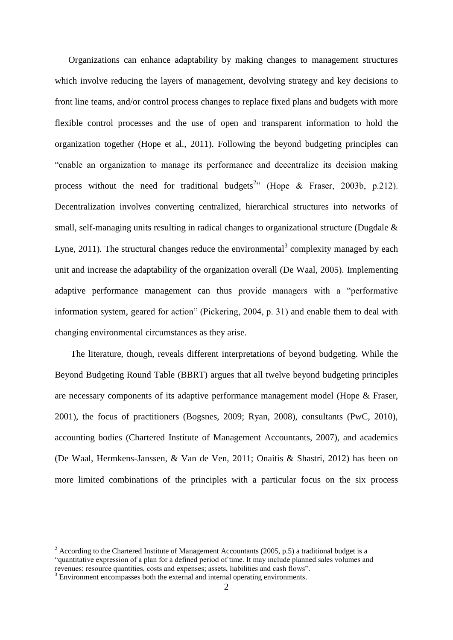Organizations can enhance adaptability by making changes to management structures which involve reducing the layers of management, devolving strategy and key decisions to front line teams, and/or control process changes to replace fixed plans and budgets with more flexible control processes and the use of open and transparent information to hold the organization together (Hope et al., 2011). Following the beyond budgeting principles can "enable an organization to manage its performance and decentralize its decision making process without the need for traditional budgets<sup>2</sup><sup>2</sup> (Hope & Fraser, 2003b, p.212). Decentralization involves converting centralized, hierarchical structures into networks of small, self-managing units resulting in radical changes to organizational structure (Dugdale & Lyne, 2011). The structural changes reduce the environmental<sup>3</sup> complexity managed by each unit and increase the adaptability of the organization overall (De Waal, 2005). Implementing adaptive performance management can thus provide managers with a "performative information system, geared for action" (Pickering, 2004, p. 31) and enable them to deal with changing environmental circumstances as they arise.

The literature, though, reveals different interpretations of beyond budgeting. While the Beyond Budgeting Round Table (BBRT) argues that all twelve beyond budgeting principles are necessary components of its adaptive performance management model (Hope & Fraser, 2001), the focus of practitioners (Bogsnes, 2009; Ryan, 2008), consultants (PwC, 2010), accounting bodies (Chartered Institute of Management Accountants, 2007), and academics (De Waal, Hermkens-Janssen, & Van de Ven, 2011; Onaitis & Shastri, 2012) has been on more limited combinations of the principles with a particular focus on the six process

1

<sup>&</sup>lt;sup>2</sup> According to the Chartered Institute of Management Accountants (2005, p.5) a traditional budget is a "quantitative expression of a plan for a defined period of time. It may include planned sales volumes and revenues; resource quantities, costs and expenses; assets, liabilities and cash flows".

<sup>&</sup>lt;sup>3</sup> Environment encompasses both the external and internal operating environments.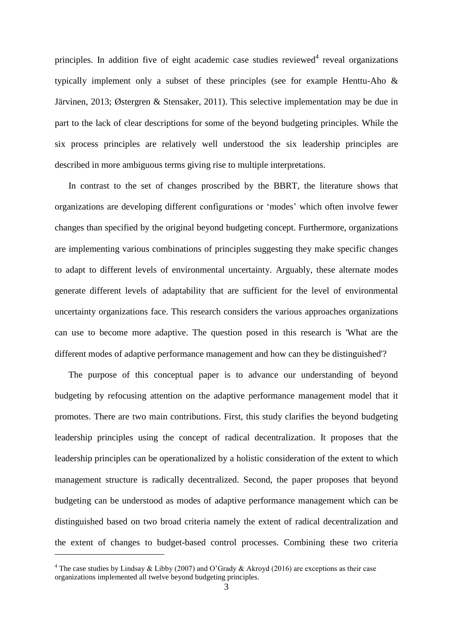principles. In addition five of eight academic case studies reviewed<sup>4</sup> reveal organizations typically implement only a subset of these principles (see for example Henttu-Aho & Järvinen, 2013; Østergren & Stensaker, 2011). This selective implementation may be due in part to the lack of clear descriptions for some of the beyond budgeting principles. While the six process principles are relatively well understood the six leadership principles are described in more ambiguous terms giving rise to multiple interpretations.

In contrast to the set of changes proscribed by the BBRT, the literature shows that organizations are developing different configurations or 'modes' which often involve fewer changes than specified by the original beyond budgeting concept. Furthermore, organizations are implementing various combinations of principles suggesting they make specific changes to adapt to different levels of environmental uncertainty. Arguably, these alternate modes generate different levels of adaptability that are sufficient for the level of environmental uncertainty organizations face. This research considers the various approaches organizations can use to become more adaptive. The question posed in this research is 'What are the different modes of adaptive performance management and how can they be distinguished'?

The purpose of this conceptual paper is to advance our understanding of beyond budgeting by refocusing attention on the adaptive performance management model that it promotes. There are two main contributions. First, this study clarifies the beyond budgeting leadership principles using the concept of radical decentralization. It proposes that the leadership principles can be operationalized by a holistic consideration of the extent to which management structure is radically decentralized. Second, the paper proposes that beyond budgeting can be understood as modes of adaptive performance management which can be distinguished based on two broad criteria namely the extent of radical decentralization and the extent of changes to budget-based control processes. Combining these two criteria

1

<sup>&</sup>lt;sup>4</sup> The case studies by Lindsay & Libby (2007) and O'Grady & Akroyd (2016) are exceptions as their case organizations implemented all twelve beyond budgeting principles.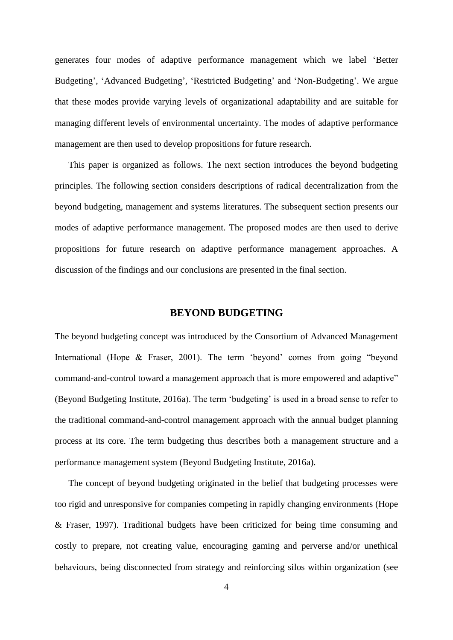generates four modes of adaptive performance management which we label 'Better Budgeting', 'Advanced Budgeting', 'Restricted Budgeting' and 'Non-Budgeting'. We argue that these modes provide varying levels of organizational adaptability and are suitable for managing different levels of environmental uncertainty. The modes of adaptive performance management are then used to develop propositions for future research.

This paper is organized as follows. The next section introduces the beyond budgeting principles. The following section considers descriptions of radical decentralization from the beyond budgeting, management and systems literatures. The subsequent section presents our modes of adaptive performance management. The proposed modes are then used to derive propositions for future research on adaptive performance management approaches. A discussion of the findings and our conclusions are presented in the final section.

### **BEYOND BUDGETING**

The beyond budgeting concept was introduced by the Consortium of Advanced Management International (Hope & Fraser, 2001). The term 'beyond' comes from going "beyond command-and-control toward a management approach that is more empowered and adaptive" (Beyond Budgeting Institute, 2016a). The term 'budgeting' is used in a broad sense to refer to the traditional command-and-control management approach with the annual budget planning process at its core. The term budgeting thus describes both a management structure and a performance management system (Beyond Budgeting Institute, 2016a).

The concept of beyond budgeting originated in the belief that budgeting processes were too rigid and unresponsive for companies competing in rapidly changing environments (Hope & Fraser, 1997). Traditional budgets have been criticized for being time consuming and costly to prepare, not creating value, encouraging gaming and perverse and/or unethical behaviours, being disconnected from strategy and reinforcing silos within organization (see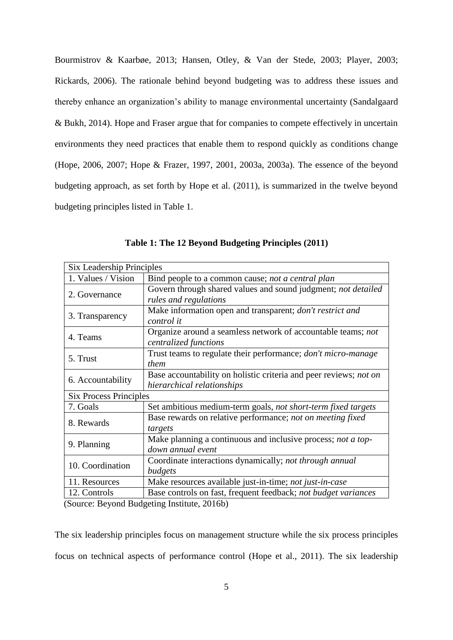Bourmistrov & Kaarbøe, 2013; Hansen, Otley, & Van der Stede, 2003; Player, 2003; Rickards, 2006). The rationale behind beyond budgeting was to address these issues and thereby enhance an organization's ability to manage environmental uncertainty (Sandalgaard & Bukh, 2014). Hope and Fraser argue that for companies to compete effectively in uncertain environments they need practices that enable them to respond quickly as conditions change (Hope, 2006, 2007; Hope & Frazer, 1997, 2001, 2003a, 2003a). The essence of the beyond budgeting approach, as set forth by Hope et al. (2011), is summarized in the twelve beyond budgeting principles listed in Table 1.

| <b>Six Leadership Principles</b> |                                                                   |  |  |
|----------------------------------|-------------------------------------------------------------------|--|--|
| 1. Values / Vision               | Bind people to a common cause; not a central plan                 |  |  |
| 2. Governance                    | Govern through shared values and sound judgment; not detailed     |  |  |
|                                  | rules and regulations                                             |  |  |
| 3. Transparency                  | Make information open and transparent; <i>don't restrict and</i>  |  |  |
|                                  | control it                                                        |  |  |
| 4. Teams                         | Organize around a seamless network of accountable teams; not      |  |  |
|                                  | centralized functions                                             |  |  |
| 5. Trust                         | Trust teams to regulate their performance; don't micro-manage     |  |  |
|                                  | them                                                              |  |  |
| 6. Accountability                | Base accountability on holistic criteria and peer reviews; not on |  |  |
|                                  | hierarchical relationships                                        |  |  |
| <b>Six Process Principles</b>    |                                                                   |  |  |
| 7. Goals                         | Set ambitious medium-term goals, not short-term fixed targets     |  |  |
| 8. Rewards                       | Base rewards on relative performance; not on meeting fixed        |  |  |
|                                  | targets                                                           |  |  |
| 9. Planning                      | Make planning a continuous and inclusive process; not a top-      |  |  |
|                                  | down annual event                                                 |  |  |
| 10. Coordination                 | Coordinate interactions dynamically; not through annual           |  |  |
|                                  | budgets                                                           |  |  |
| 11. Resources                    | Make resources available just-in-time; not just-in-case           |  |  |
| 12. Controls                     | Base controls on fast, frequent feedback; not budget variances    |  |  |

**Table 1: The 12 Beyond Budgeting Principles (2011)**

(Source: Beyond Budgeting Institute, 2016b)

The six leadership principles focus on management structure while the six process principles focus on technical aspects of performance control (Hope et al., 2011). The six leadership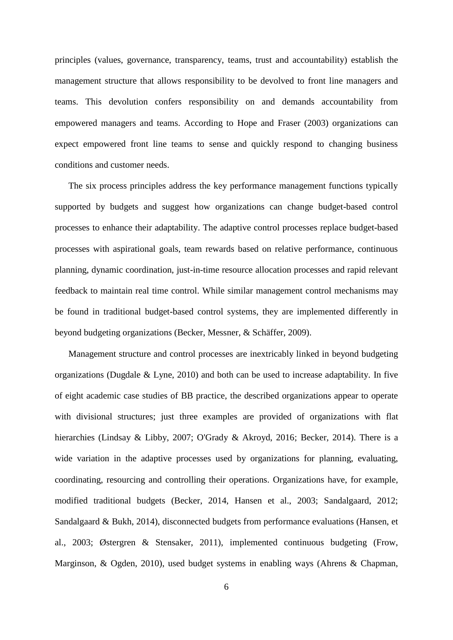principles (values, governance, transparency, teams, trust and accountability) establish the management structure that allows responsibility to be devolved to front line managers and teams. This devolution confers responsibility on and demands accountability from empowered managers and teams. According to Hope and Fraser (2003) organizations can expect empowered front line teams to sense and quickly respond to changing business conditions and customer needs.

The six process principles address the key performance management functions typically supported by budgets and suggest how organizations can change budget-based control processes to enhance their adaptability. The adaptive control processes replace budget-based processes with aspirational goals, team rewards based on relative performance, continuous planning, dynamic coordination, just-in-time resource allocation processes and rapid relevant feedback to maintain real time control. While similar management control mechanisms may be found in traditional budget-based control systems, they are implemented differently in beyond budgeting organizations (Becker, Messner, & Schäffer, 2009).

Management structure and control processes are inextricably linked in beyond budgeting organizations (Dugdale & Lyne, 2010) and both can be used to increase adaptability. In five of eight academic case studies of BB practice, the described organizations appear to operate with divisional structures; just three examples are provided of organizations with flat hierarchies (Lindsay & Libby, 2007; O'Grady & Akroyd, 2016; Becker, 2014). There is a wide variation in the adaptive processes used by organizations for planning, evaluating, coordinating, resourcing and controlling their operations. Organizations have, for example, modified traditional budgets (Becker, 2014, Hansen et al., 2003; Sandalgaard, 2012; Sandalgaard & Bukh, 2014), disconnected budgets from performance evaluations (Hansen, et al., 2003; Østergren & Stensaker, 2011), implemented continuous budgeting (Frow, Marginson, & Ogden, 2010), used budget systems in enabling ways (Ahrens & Chapman,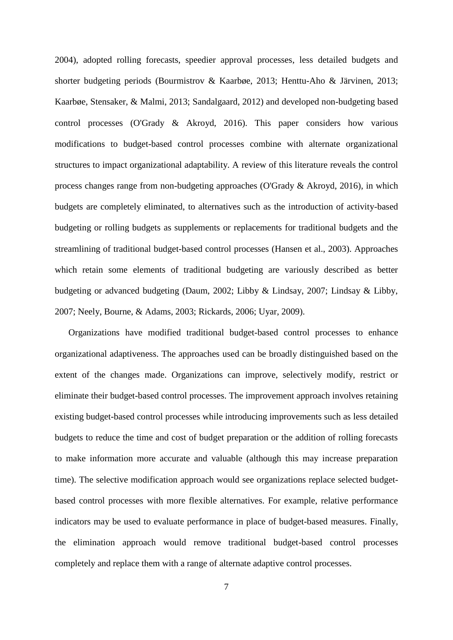2004), adopted rolling forecasts, speedier approval processes, less detailed budgets and shorter budgeting periods (Bourmistrov & Kaarbøe, 2013; Henttu-Aho & Järvinen, 2013; Kaarbøe, Stensaker, & Malmi, 2013; Sandalgaard, 2012) and developed non-budgeting based control processes (O'Grady & Akroyd, 2016). This paper considers how various modifications to budget-based control processes combine with alternate organizational structures to impact organizational adaptability. A review of this literature reveals the control process changes range from non-budgeting approaches (O'Grady & Akroyd, 2016), in which budgets are completely eliminated, to alternatives such as the introduction of activity-based budgeting or rolling budgets as supplements or replacements for traditional budgets and the streamlining of traditional budget-based control processes (Hansen et al., 2003). Approaches which retain some elements of traditional budgeting are variously described as better budgeting or advanced budgeting (Daum, 2002; Libby & Lindsay, 2007; Lindsay & Libby, 2007; Neely, Bourne, & Adams, 2003; Rickards, 2006; Uyar, 2009).

Organizations have modified traditional budget-based control processes to enhance organizational adaptiveness. The approaches used can be broadly distinguished based on the extent of the changes made. Organizations can improve, selectively modify, restrict or eliminate their budget-based control processes. The improvement approach involves retaining existing budget-based control processes while introducing improvements such as less detailed budgets to reduce the time and cost of budget preparation or the addition of rolling forecasts to make information more accurate and valuable (although this may increase preparation time). The selective modification approach would see organizations replace selected budgetbased control processes with more flexible alternatives. For example, relative performance indicators may be used to evaluate performance in place of budget-based measures. Finally, the elimination approach would remove traditional budget-based control processes completely and replace them with a range of alternate adaptive control processes.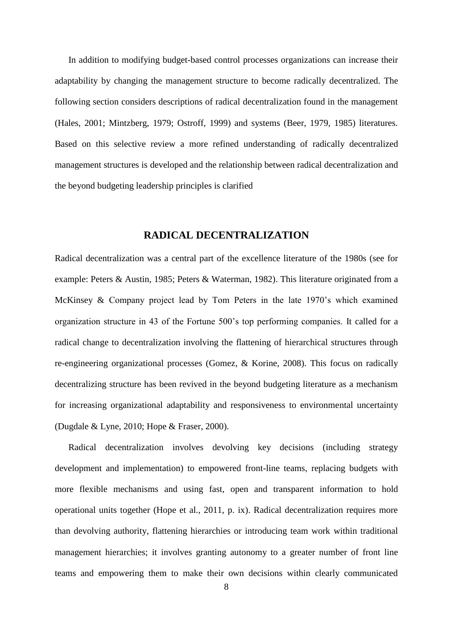In addition to modifying budget-based control processes organizations can increase their adaptability by changing the management structure to become radically decentralized. The following section considers descriptions of radical decentralization found in the management (Hales, 2001; Mintzberg, 1979; Ostroff, 1999) and systems (Beer, 1979, 1985) literatures. Based on this selective review a more refined understanding of radically decentralized management structures is developed and the relationship between radical decentralization and the beyond budgeting leadership principles is clarified

#### **RADICAL DECENTRALIZATION**

Radical decentralization was a central part of the excellence literature of the 1980s (see for example: Peters & Austin, 1985; Peters & Waterman, 1982). This literature originated from a McKinsey & Company project lead by Tom Peters in the late 1970's which examined organization structure in 43 of the Fortune 500's top performing companies. It called for a radical change to decentralization involving the flattening of hierarchical structures through re-engineering organizational processes (Gomez, & Korine, 2008). This focus on radically decentralizing structure has been revived in the beyond budgeting literature as a mechanism for increasing organizational adaptability and responsiveness to environmental uncertainty (Dugdale & Lyne, 2010; Hope & Fraser, 2000).

Radical decentralization involves devolving key decisions (including strategy development and implementation) to empowered front-line teams, replacing budgets with more flexible mechanisms and using fast, open and transparent information to hold operational units together (Hope et al., 2011, p. ix). Radical decentralization requires more than devolving authority, flattening hierarchies or introducing team work within traditional management hierarchies; it involves granting autonomy to a greater number of front line teams and empowering them to make their own decisions within clearly communicated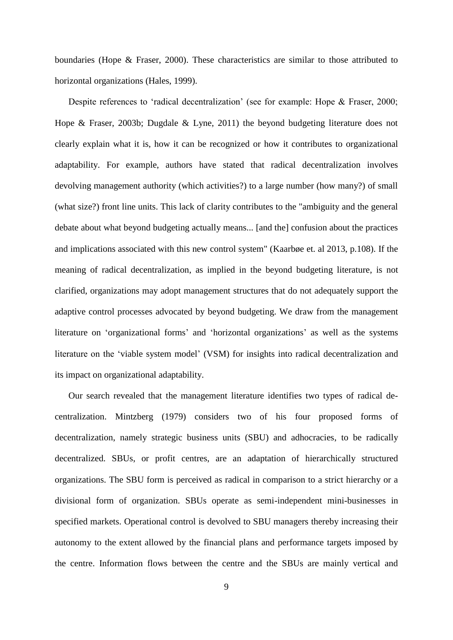boundaries (Hope & Fraser, 2000). These characteristics are similar to those attributed to horizontal organizations (Hales, 1999).

Despite references to 'radical decentralization' (see for example: Hope & Fraser, 2000; Hope & Fraser, 2003b; Dugdale & Lyne, 2011) the beyond budgeting literature does not clearly explain what it is, how it can be recognized or how it contributes to organizational adaptability. For example, authors have stated that radical decentralization involves devolving management authority (which activities?) to a large number (how many?) of small (what size?) front line units. This lack of clarity contributes to the "ambiguity and the general debate about what beyond budgeting actually means... [and the] confusion about the practices and implications associated with this new control system" (Kaarbøe et. al 2013, p.108). If the meaning of radical decentralization, as implied in the beyond budgeting literature, is not clarified, organizations may adopt management structures that do not adequately support the adaptive control processes advocated by beyond budgeting. We draw from the management literature on 'organizational forms' and 'horizontal organizations' as well as the systems literature on the 'viable system model' (VSM) for insights into radical decentralization and its impact on organizational adaptability.

Our search revealed that the management literature identifies two types of radical decentralization. Mintzberg (1979) considers two of his four proposed forms of decentralization, namely strategic business units (SBU) and adhocracies, to be radically decentralized. SBUs, or profit centres, are an adaptation of hierarchically structured organizations. The SBU form is perceived as radical in comparison to a strict hierarchy or a divisional form of organization. SBUs operate as semi-independent mini-businesses in specified markets. Operational control is devolved to SBU managers thereby increasing their autonomy to the extent allowed by the financial plans and performance targets imposed by the centre. Information flows between the centre and the SBUs are mainly vertical and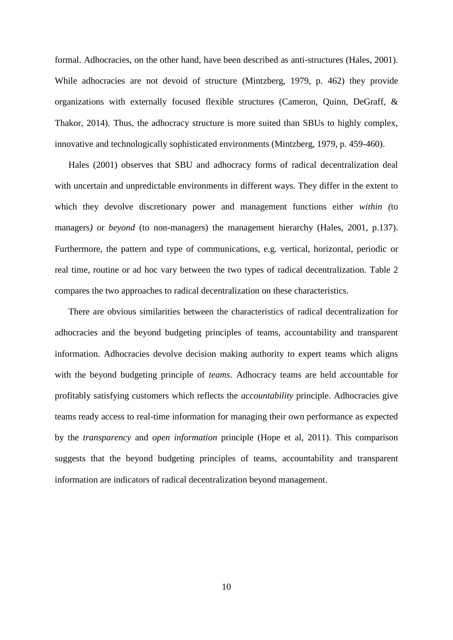formal. Adhocracies, on the other hand, have been described as anti-structures (Hales, 2001). While adhocracies are not devoid of structure (Mintzberg, 1979, p. 462) they provide organizations with externally focused flexible structures (Cameron, Quinn, DeGraff, & Thakor, 2014). Thus, the adhocracy structure is more suited than SBUs to highly complex, innovative and technologically sophisticated environments (Mintzberg, 1979, p. 459-460).

Hales (2001) observes that SBU and adhocracy forms of radical decentralization deal with uncertain and unpredictable environments in different ways. They differ in the extent to which they devolve discretionary power and management functions either *within (*to managers*)* or *beyond* (to non-managers) the management hierarchy (Hales, 2001, p.137). Furthermore, the pattern and type of communications, e.g. vertical, horizontal, periodic or real time, routine or ad hoc vary between the two types of radical decentralization. Table 2 compares the two approaches to radical decentralization on these characteristics.

There are obvious similarities between the characteristics of radical decentralization for adhocracies and the beyond budgeting principles of teams, accountability and transparent information. Adhocracies devolve decision making authority to expert teams which aligns with the beyond budgeting principle of *teams*. Adhocracy teams are held accountable for profitably satisfying customers which reflects the *accountability* principle. Adhocracies give teams ready access to real-time information for managing their own performance as expected by the *transparency* and *open information* principle (Hope et al, 2011). This comparison suggests that the beyond budgeting principles of teams, accountability and transparent information are indicators of radical decentralization beyond management.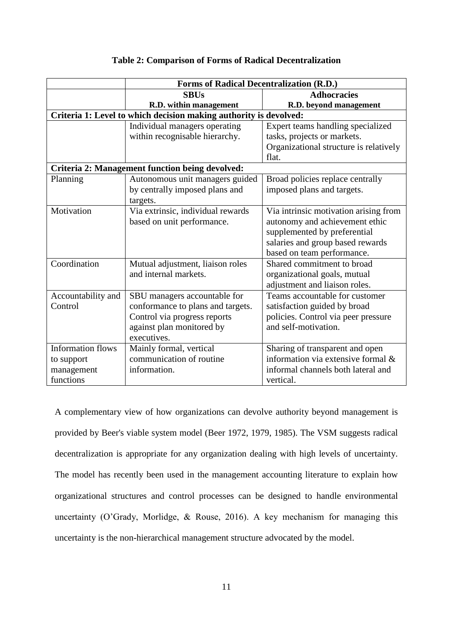|                                                                   | <b>Forms of Radical Decentralization (R.D.)</b> |                                        |  |  |  |
|-------------------------------------------------------------------|-------------------------------------------------|----------------------------------------|--|--|--|
|                                                                   | <b>SBUs</b>                                     | <b>Adhocracies</b>                     |  |  |  |
|                                                                   | R.D. within management                          | R.D. beyond management                 |  |  |  |
| Criteria 1: Level to which decision making authority is devolved: |                                                 |                                        |  |  |  |
|                                                                   | Individual managers operating                   | Expert teams handling specialized      |  |  |  |
|                                                                   | within recognisable hierarchy.                  | tasks, projects or markets.            |  |  |  |
|                                                                   |                                                 | Organizational structure is relatively |  |  |  |
|                                                                   |                                                 | flat.                                  |  |  |  |
| <b>Criteria 2: Management function being devolved:</b>            |                                                 |                                        |  |  |  |
| Planning                                                          | Autonomous unit managers guided                 | Broad policies replace centrally       |  |  |  |
|                                                                   | by centrally imposed plans and                  | imposed plans and targets.             |  |  |  |
|                                                                   | targets.                                        |                                        |  |  |  |
| Motivation                                                        | Via extrinsic, individual rewards               | Via intrinsic motivation arising from  |  |  |  |
|                                                                   | based on unit performance.                      | autonomy and achievement ethic         |  |  |  |
|                                                                   |                                                 | supplemented by preferential           |  |  |  |
|                                                                   |                                                 | salaries and group based rewards       |  |  |  |
|                                                                   |                                                 | based on team performance.             |  |  |  |
| Coordination                                                      | Mutual adjustment, liaison roles                | Shared commitment to broad             |  |  |  |
|                                                                   | and internal markets.                           | organizational goals, mutual           |  |  |  |
|                                                                   |                                                 | adjustment and liaison roles.          |  |  |  |
| Accountability and                                                | SBU managers accountable for                    | Teams accountable for customer         |  |  |  |
| Control                                                           | conformance to plans and targets.               | satisfaction guided by broad           |  |  |  |
|                                                                   | Control via progress reports                    | policies. Control via peer pressure    |  |  |  |
|                                                                   | against plan monitored by                       | and self-motivation.                   |  |  |  |
|                                                                   | executives.                                     |                                        |  |  |  |
| <b>Information flows</b>                                          | Mainly formal, vertical                         | Sharing of transparent and open        |  |  |  |
| to support                                                        | communication of routine                        | information via extensive formal &     |  |  |  |
| management                                                        | information.                                    | informal channels both lateral and     |  |  |  |
| functions                                                         |                                                 | vertical.                              |  |  |  |

#### **Table 2: Comparison of Forms of Radical Decentralization**

A complementary view of how organizations can devolve authority beyond management is provided by Beer's viable system model (Beer 1972, 1979, 1985). The VSM suggests radical decentralization is appropriate for any organization dealing with high levels of uncertainty. The model has recently been used in the management accounting literature to explain how organizational structures and control processes can be designed to handle environmental uncertainty (O'Grady, Morlidge, & Rouse, 2016). A key mechanism for managing this uncertainty is the non-hierarchical management structure advocated by the model.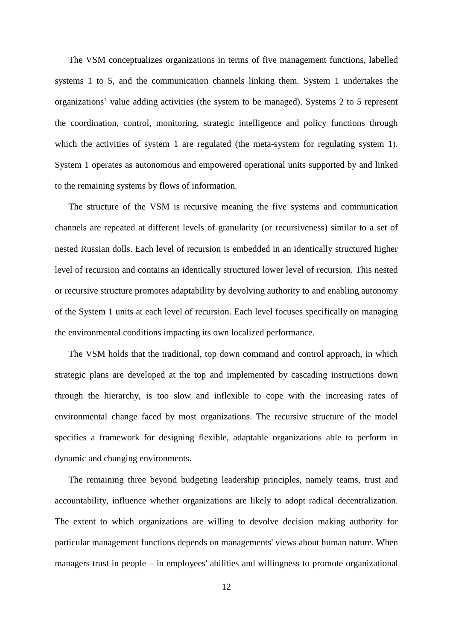The VSM conceptualizes organizations in terms of five management functions, labelled systems 1 to 5, and the communication channels linking them. System 1 undertakes the organizations' value adding activities (the system to be managed). Systems 2 to 5 represent the coordination, control, monitoring, strategic intelligence and policy functions through which the activities of system 1 are regulated (the meta-system for regulating system 1). System 1 operates as autonomous and empowered operational units supported by and linked to the remaining systems by flows of information.

The structure of the VSM is recursive meaning the five systems and communication channels are repeated at different levels of granularity (or recursiveness) similar to a set of nested Russian dolls. Each level of recursion is embedded in an identically structured higher level of recursion and contains an identically structured lower level of recursion. This nested or recursive structure promotes adaptability by devolving authority to and enabling autonomy of the System 1 units at each level of recursion. Each level focuses specifically on managing the environmental conditions impacting its own localized performance.

The VSM holds that the traditional, top down command and control approach, in which strategic plans are developed at the top and implemented by cascading instructions down through the hierarchy, is too slow and inflexible to cope with the increasing rates of environmental change faced by most organizations. The recursive structure of the model specifies a framework for designing flexible, adaptable organizations able to perform in dynamic and changing environments.

The remaining three beyond budgeting leadership principles, namely teams, trust and accountability, influence whether organizations are likely to adopt radical decentralization. The extent to which organizations are willing to devolve decision making authority for particular management functions depends on managements' views about human nature. When managers trust in people – in employees' abilities and willingness to promote organizational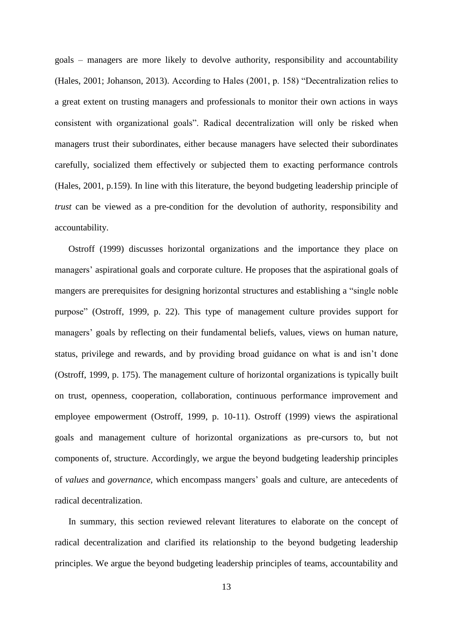goals – managers are more likely to devolve authority, responsibility and accountability (Hales, 2001; Johanson, 2013). According to Hales (2001, p. 158) "Decentralization relies to a great extent on trusting managers and professionals to monitor their own actions in ways consistent with organizational goals". Radical decentralization will only be risked when managers trust their subordinates, either because managers have selected their subordinates carefully, socialized them effectively or subjected them to exacting performance controls (Hales, 2001, p.159). In line with this literature, the beyond budgeting leadership principle of *trust* can be viewed as a pre-condition for the devolution of authority, responsibility and accountability.

Ostroff (1999) discusses horizontal organizations and the importance they place on managers' aspirational goals and corporate culture. He proposes that the aspirational goals of mangers are prerequisites for designing horizontal structures and establishing a "single noble purpose" (Ostroff, 1999, p. 22). This type of management culture provides support for managers' goals by reflecting on their fundamental beliefs, values, views on human nature, status, privilege and rewards, and by providing broad guidance on what is and isn't done (Ostroff, 1999, p. 175). The management culture of horizontal organizations is typically built on trust, openness, cooperation, collaboration, continuous performance improvement and employee empowerment (Ostroff, 1999, p. 10-11). Ostroff (1999) views the aspirational goals and management culture of horizontal organizations as pre-cursors to, but not components of, structure. Accordingly, we argue the beyond budgeting leadership principles of *values* and *governance,* which encompass mangers' goals and culture*,* are antecedents of radical decentralization.

In summary, this section reviewed relevant literatures to elaborate on the concept of radical decentralization and clarified its relationship to the beyond budgeting leadership principles. We argue the beyond budgeting leadership principles of teams, accountability and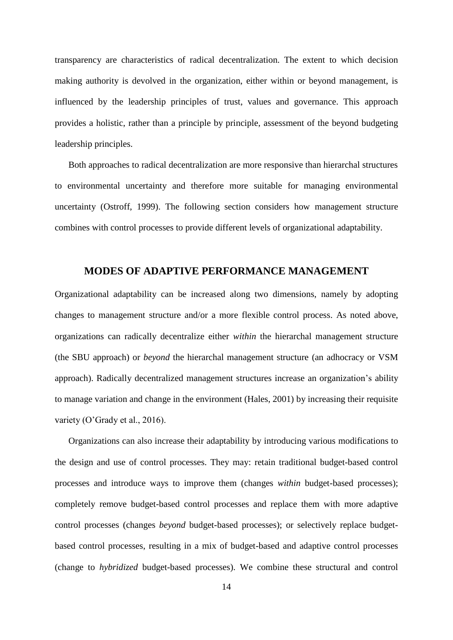transparency are characteristics of radical decentralization. The extent to which decision making authority is devolved in the organization, either within or beyond management, is influenced by the leadership principles of trust, values and governance. This approach provides a holistic, rather than a principle by principle, assessment of the beyond budgeting leadership principles.

Both approaches to radical decentralization are more responsive than hierarchal structures to environmental uncertainty and therefore more suitable for managing environmental uncertainty (Ostroff, 1999). The following section considers how management structure combines with control processes to provide different levels of organizational adaptability.

### **MODES OF ADAPTIVE PERFORMANCE MANAGEMENT**

Organizational adaptability can be increased along two dimensions, namely by adopting changes to management structure and/or a more flexible control process. As noted above, organizations can radically decentralize either *within* the hierarchal management structure (the SBU approach) or *beyond* the hierarchal management structure (an adhocracy or VSM approach). Radically decentralized management structures increase an organization's ability to manage variation and change in the environment (Hales, 2001) by increasing their requisite variety (O'Grady et al., 2016).

Organizations can also increase their adaptability by introducing various modifications to the design and use of control processes. They may: retain traditional budget-based control processes and introduce ways to improve them (changes *within* budget-based processes); completely remove budget-based control processes and replace them with more adaptive control processes (changes *beyond* budget-based processes); or selectively replace budgetbased control processes, resulting in a mix of budget-based and adaptive control processes (change to *hybridized* budget-based processes). We combine these structural and control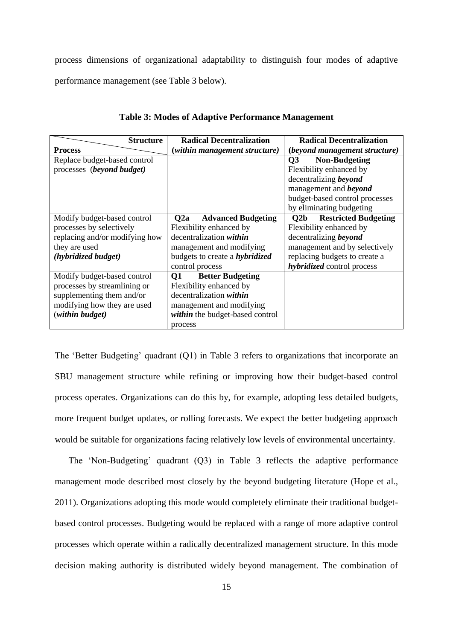process dimensions of organizational adaptability to distinguish four modes of adaptive performance management (see [Table 3](#page-16-0) below).

<span id="page-16-0"></span>

| <b>Structure</b>               | <b>Radical Decentralization</b>       | <b>Radical Decentralization</b>                |
|--------------------------------|---------------------------------------|------------------------------------------------|
| <b>Process</b>                 | (within management structure)         | <i>(beyond management structure)</i>           |
| Replace budget-based control   |                                       | <b>Non-Budgeting</b><br>$\overline{O3}$        |
| processes (beyond budget)      |                                       | Flexibility enhanced by                        |
|                                |                                       | decentralizing beyond                          |
|                                |                                       | management and <b>beyond</b>                   |
|                                |                                       | budget-based control processes                 |
|                                |                                       | by eliminating budgeting                       |
| Modify budget-based control    | Q2a<br><b>Advanced Budgeting</b>      | <b>Restricted Budgeting</b><br>Q <sub>2b</sub> |
| processes by selectively       | Flexibility enhanced by               | Flexibility enhanced by                        |
| replacing and/or modifying how | decentralization within               | decentralizing beyond                          |
| they are used                  | management and modifying              | management and by selectively                  |
| (hybridized budget)            | budgets to create a <i>hybridized</i> | replacing budgets to create a                  |
|                                | control process                       | <i>hybridized</i> control process              |
| Modify budget-based control    | <b>Better Budgeting</b><br>O1         |                                                |
| processes by streamlining or   | Flexibility enhanced by               |                                                |
| supplementing them and/or      | decentralization within               |                                                |
| modifying how they are used    | management and modifying              |                                                |
| (within budget)                | within the budget-based control       |                                                |
|                                | process                               |                                                |

#### **Table 3: Modes of Adaptive Performance Management**

The 'Better Budgeting' quadrant (Q1) in Table 3 refers to organizations that incorporate an SBU management structure while refining or improving how their budget-based control process operates. Organizations can do this by, for example, adopting less detailed budgets, more frequent budget updates, or rolling forecasts. We expect the better budgeting approach would be suitable for organizations facing relatively low levels of environmental uncertainty.

The 'Non-Budgeting' quadrant (Q3) in Table 3 reflects the adaptive performance management mode described most closely by the beyond budgeting literature (Hope et al., 2011). Organizations adopting this mode would completely eliminate their traditional budgetbased control processes. Budgeting would be replaced with a range of more adaptive control processes which operate within a radically decentralized management structure. In this mode decision making authority is distributed widely beyond management. The combination of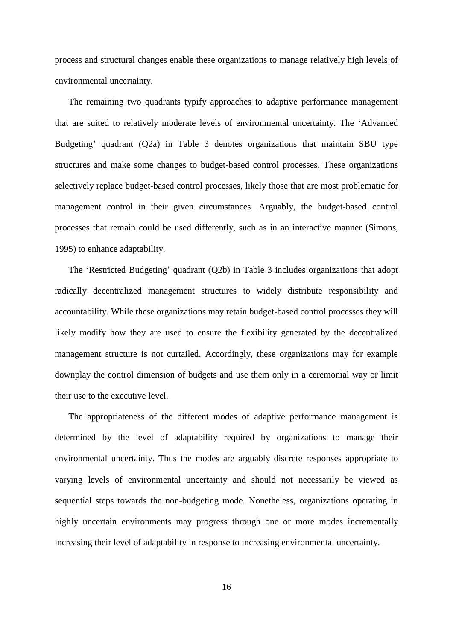process and structural changes enable these organizations to manage relatively high levels of environmental uncertainty.

The remaining two quadrants typify approaches to adaptive performance management that are suited to relatively moderate levels of environmental uncertainty. The 'Advanced Budgeting' quadrant (Q2a) in Table 3 denotes organizations that maintain SBU type structures and make some changes to budget-based control processes. These organizations selectively replace budget-based control processes, likely those that are most problematic for management control in their given circumstances. Arguably, the budget-based control processes that remain could be used differently, such as in an interactive manner (Simons, 1995) to enhance adaptability.

The 'Restricted Budgeting' quadrant (Q2b) in Table 3 includes organizations that adopt radically decentralized management structures to widely distribute responsibility and accountability. While these organizations may retain budget-based control processes they will likely modify how they are used to ensure the flexibility generated by the decentralized management structure is not curtailed. Accordingly, these organizations may for example downplay the control dimension of budgets and use them only in a ceremonial way or limit their use to the executive level.

The appropriateness of the different modes of adaptive performance management is determined by the level of adaptability required by organizations to manage their environmental uncertainty. Thus the modes are arguably discrete responses appropriate to varying levels of environmental uncertainty and should not necessarily be viewed as sequential steps towards the non-budgeting mode. Nonetheless, organizations operating in highly uncertain environments may progress through one or more modes incrementally increasing their level of adaptability in response to increasing environmental uncertainty.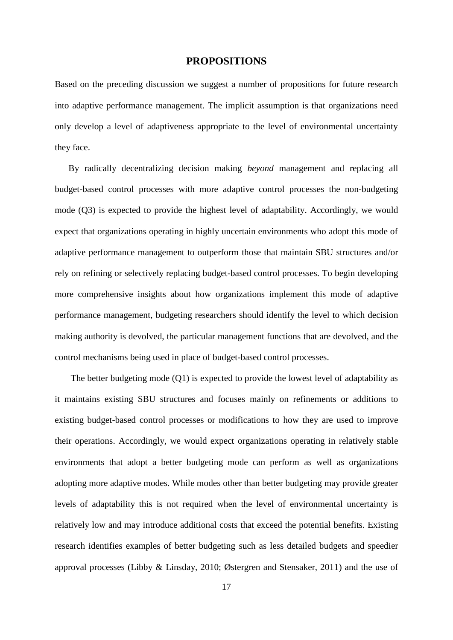#### **PROPOSITIONS**

Based on the preceding discussion we suggest a number of propositions for future research into adaptive performance management. The implicit assumption is that organizations need only develop a level of adaptiveness appropriate to the level of environmental uncertainty they face.

By radically decentralizing decision making *beyond* management and replacing all budget-based control processes with more adaptive control processes the non-budgeting mode (Q3) is expected to provide the highest level of adaptability. Accordingly, we would expect that organizations operating in highly uncertain environments who adopt this mode of adaptive performance management to outperform those that maintain SBU structures and/or rely on refining or selectively replacing budget-based control processes. To begin developing more comprehensive insights about how organizations implement this mode of adaptive performance management, budgeting researchers should identify the level to which decision making authority is devolved, the particular management functions that are devolved, and the control mechanisms being used in place of budget-based control processes.

The better budgeting mode (Q1) is expected to provide the lowest level of adaptability as it maintains existing SBU structures and focuses mainly on refinements or additions to existing budget-based control processes or modifications to how they are used to improve their operations. Accordingly, we would expect organizations operating in relatively stable environments that adopt a better budgeting mode can perform as well as organizations adopting more adaptive modes. While modes other than better budgeting may provide greater levels of adaptability this is not required when the level of environmental uncertainty is relatively low and may introduce additional costs that exceed the potential benefits. Existing research identifies examples of better budgeting such as less detailed budgets and speedier approval processes (Libby & Linsday, 2010; Østergren and Stensaker, 2011) and the use of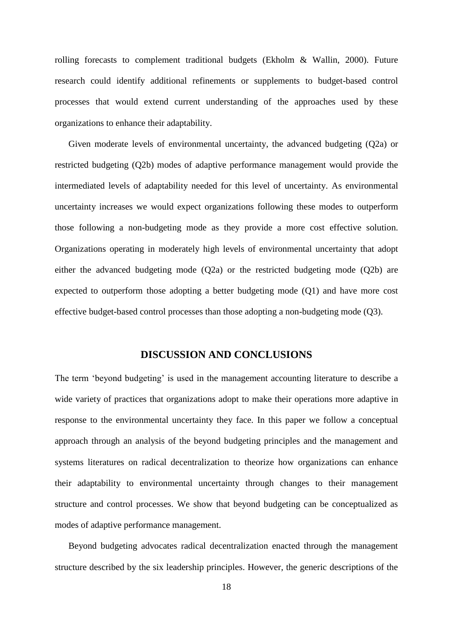rolling forecasts to complement traditional budgets (Ekholm & Wallin, 2000). Future research could identify additional refinements or supplements to budget-based control processes that would extend current understanding of the approaches used by these organizations to enhance their adaptability.

Given moderate levels of environmental uncertainty, the advanced budgeting (Q2a) or restricted budgeting (Q2b) modes of adaptive performance management would provide the intermediated levels of adaptability needed for this level of uncertainty. As environmental uncertainty increases we would expect organizations following these modes to outperform those following a non-budgeting mode as they provide a more cost effective solution. Organizations operating in moderately high levels of environmental uncertainty that adopt either the advanced budgeting mode (Q2a) or the restricted budgeting mode (Q2b) are expected to outperform those adopting a better budgeting mode (Q1) and have more cost effective budget-based control processes than those adopting a non-budgeting mode (Q3).

### **DISCUSSION AND CONCLUSIONS**

The term 'beyond budgeting' is used in the management accounting literature to describe a wide variety of practices that organizations adopt to make their operations more adaptive in response to the environmental uncertainty they face. In this paper we follow a conceptual approach through an analysis of the beyond budgeting principles and the management and systems literatures on radical decentralization to theorize how organizations can enhance their adaptability to environmental uncertainty through changes to their management structure and control processes. We show that beyond budgeting can be conceptualized as modes of adaptive performance management.

Beyond budgeting advocates radical decentralization enacted through the management structure described by the six leadership principles. However, the generic descriptions of the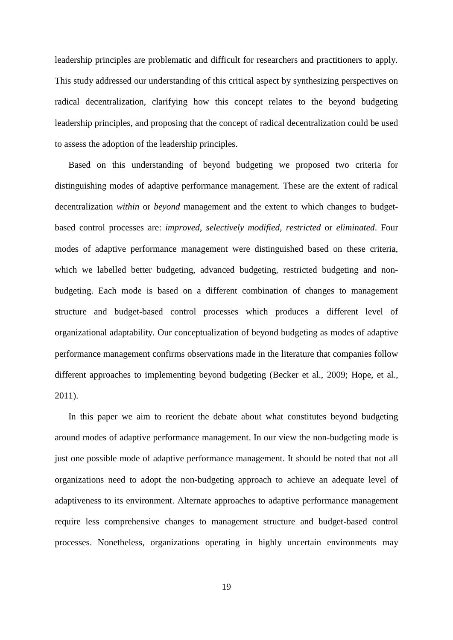leadership principles are problematic and difficult for researchers and practitioners to apply. This study addressed our understanding of this critical aspect by synthesizing perspectives on radical decentralization, clarifying how this concept relates to the beyond budgeting leadership principles, and proposing that the concept of radical decentralization could be used to assess the adoption of the leadership principles.

Based on this understanding of beyond budgeting we proposed two criteria for distinguishing modes of adaptive performance management. These are the extent of radical decentralization *within* or *beyond* management and the extent to which changes to budgetbased control processes are: *improved*, *selectively modified*, *restricted* or *eliminated*. Four modes of adaptive performance management were distinguished based on these criteria, which we labelled better budgeting, advanced budgeting, restricted budgeting and nonbudgeting. Each mode is based on a different combination of changes to management structure and budget-based control processes which produces a different level of organizational adaptability. Our conceptualization of beyond budgeting as modes of adaptive performance management confirms observations made in the literature that companies follow different approaches to implementing beyond budgeting (Becker et al., 2009; Hope, et al., 2011).

In this paper we aim to reorient the debate about what constitutes beyond budgeting around modes of adaptive performance management. In our view the non-budgeting mode is just one possible mode of adaptive performance management. It should be noted that not all organizations need to adopt the non-budgeting approach to achieve an adequate level of adaptiveness to its environment. Alternate approaches to adaptive performance management require less comprehensive changes to management structure and budget-based control processes. Nonetheless, organizations operating in highly uncertain environments may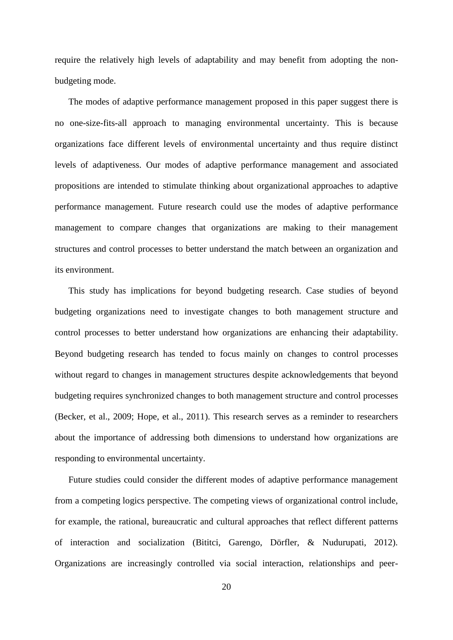require the relatively high levels of adaptability and may benefit from adopting the nonbudgeting mode.

The modes of adaptive performance management proposed in this paper suggest there is no one-size-fits-all approach to managing environmental uncertainty. This is because organizations face different levels of environmental uncertainty and thus require distinct levels of adaptiveness. Our modes of adaptive performance management and associated propositions are intended to stimulate thinking about organizational approaches to adaptive performance management. Future research could use the modes of adaptive performance management to compare changes that organizations are making to their management structures and control processes to better understand the match between an organization and its environment.

This study has implications for beyond budgeting research. Case studies of beyond budgeting organizations need to investigate changes to both management structure and control processes to better understand how organizations are enhancing their adaptability. Beyond budgeting research has tended to focus mainly on changes to control processes without regard to changes in management structures despite acknowledgements that beyond budgeting requires synchronized changes to both management structure and control processes (Becker, et al., 2009; Hope, et al., 2011). This research serves as a reminder to researchers about the importance of addressing both dimensions to understand how organizations are responding to environmental uncertainty.

Future studies could consider the different modes of adaptive performance management from a competing logics perspective. The competing views of organizational control include, for example, the rational, bureaucratic and cultural approaches that reflect different patterns of interaction and socialization (Bititci, Garengo, Dörfler, & Nudurupati, 2012). Organizations are increasingly controlled via social interaction, relationships and peer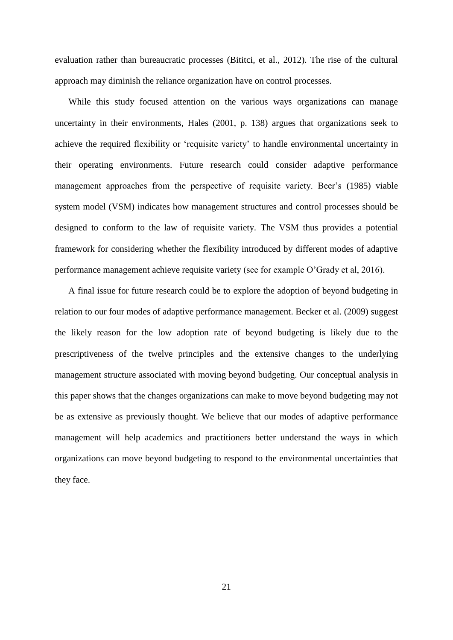evaluation rather than bureaucratic processes (Bititci, et al., 2012). The rise of the cultural approach may diminish the reliance organization have on control processes.

While this study focused attention on the various ways organizations can manage uncertainty in their environments, Hales (2001, p. 138) argues that organizations seek to achieve the required flexibility or 'requisite variety' to handle environmental uncertainty in their operating environments. Future research could consider adaptive performance management approaches from the perspective of requisite variety. Beer's (1985) viable system model (VSM) indicates how management structures and control processes should be designed to conform to the law of requisite variety. The VSM thus provides a potential framework for considering whether the flexibility introduced by different modes of adaptive performance management achieve requisite variety (see for example O'Grady et al, 2016).

A final issue for future research could be to explore the adoption of beyond budgeting in relation to our four modes of adaptive performance management. Becker et al. (2009) suggest the likely reason for the low adoption rate of beyond budgeting is likely due to the prescriptiveness of the twelve principles and the extensive changes to the underlying management structure associated with moving beyond budgeting. Our conceptual analysis in this paper shows that the changes organizations can make to move beyond budgeting may not be as extensive as previously thought. We believe that our modes of adaptive performance management will help academics and practitioners better understand the ways in which organizations can move beyond budgeting to respond to the environmental uncertainties that they face.

21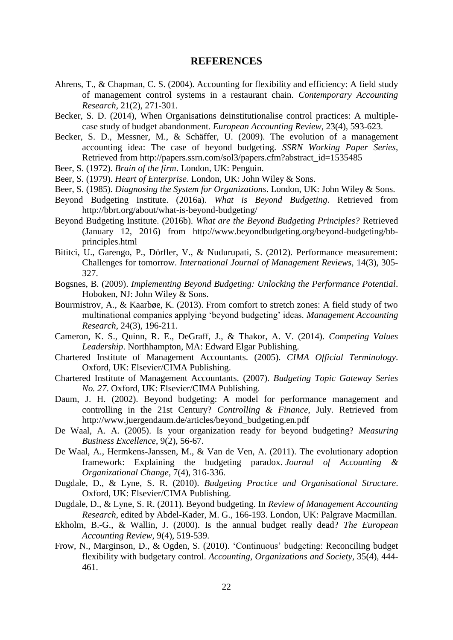#### **REFERENCES**

- Ahrens, T., & Chapman, C. S. (2004). Accounting for flexibility and efficiency: A field study of management control systems in a restaurant chain. *Contemporary Accounting Research*, 21(2), 271-301.
- Becker, S. D. (2014), When Organisations deinstitutionalise control practices: A multiplecase study of budget abandonment. *European Accounting Review*, 23(4), 593-623.
- Becker, S. D., Messner, M., & Schäffer, U. (2009). The evolution of a management accounting idea: The case of beyond budgeting. *SSRN Working Paper Series*, Retrieved from [http://papers.ssrn.com/sol3/papers.cfm?abstract\\_id=1535485](http://papers.ssrn.com/sol3/papers.cfm?abstract_id=1535485)
- Beer, S. (1972). *Brain of the firm*. London, UK: Penguin.
- Beer, S. (1979). *Heart of Enterprise*. London, UK: John Wiley & Sons.
- Beer, S. (1985). *Diagnosing the System for Organizations*. London, UK: John Wiley & Sons.
- Beyond Budgeting Institute. (2016a). *What is Beyond Budgeting*. Retrieved from <http://bbrt.org/about/what-is-beyond-budgeting/>
- Beyond Budgeting Institute. (2016b). *What are the Beyond Budgeting Principles?* Retrieved (January 12, 2016) from [http://www.beyondbudgeting.org/beyond-budgeting/bb](http://www.beyondbudgeting.org/beyond-budgeting/bb-principles.html)[principles.html](http://www.beyondbudgeting.org/beyond-budgeting/bb-principles.html)
- Bititci, U., Garengo, P., Dörfler, V., & Nudurupati, S. (2012). Performance measurement: Challenges for tomorrow. *International Journal of Management Reviews,* 14(3), 305- 327.
- Bogsnes, B. (2009). *Implementing Beyond Budgeting: Unlocking the Performance Potential*. Hoboken, NJ: John Wiley & Sons.
- Bourmistrov, A., & Kaarbøe, K. (2013). From comfort to stretch zones: A field study of two multinational companies applying 'beyond budgeting' ideas. *Management Accounting Research*, 24(3), 196-211.
- Cameron, K. S., Quinn, R. E., DeGraff, J., & Thakor, A. V. (2014). *Competing Values Leadership*. Northhampton, MA: Edward Elgar Publishing.
- Chartered Institute of Management Accountants. (2005). *CIMA Official Terminology*. Oxford, UK: Elsevier/CIMA Publishing.
- Chartered Institute of Management Accountants. (2007). *Budgeting Topic Gateway Series No. 27*. Oxford, UK: Elsevier/CIMA Publishing.
- Daum, J. H. (2002). Beyond budgeting: A model for performance management and controlling in the 21st Century? *Controlling & Finance*, July. Retrieved from http://www.juergendaum.de/articles/beyond\_budgeting.en.pdf
- De Waal, A. A. (2005). Is your organization ready for beyond budgeting? *Measuring Business Excellence*, 9(2), 56-67.
- De Waal, A., Hermkens-Janssen, M., & Van de Ven, A. (2011). The evolutionary adoption framework: Explaining the budgeting paradox. *Journal of Accounting & Organizational Change*, 7(4), 316-336.
- Dugdale, D., & Lyne, S. R. (2010). *Budgeting Practice and Organisational Structure*. Oxford, UK: Elsevier/CIMA Publishing.
- Dugdale, D., & Lyne, S. R. (2011). Beyond budgeting. In *Review of Management Accounting Research*, edited by Abdel-Kader, M. G., 166-193. London, UK: Palgrave Macmillan.
- Ekholm, B.-G., & Wallin, J. (2000). Is the annual budget really dead? *The European Accounting Review*, 9(4), 519-539.
- Frow, N., Marginson, D., & Ogden, S. (2010). 'Continuous' budgeting: Reconciling budget flexibility with budgetary control. *Accounting, Organizations and Society,* 35(4), 444- 461.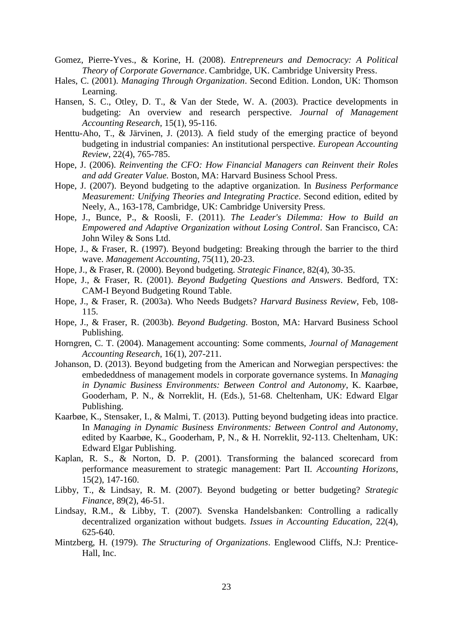- Gomez, Pierre-Yves., & Korine, H. (2008). *Entrepreneurs and Democracy: A Political Theory of Corporate Governance*. Cambridge, UK. Cambridge University Press.
- Hales, C. (2001). *Managing Through Organization*. Second Edition. London, UK: Thomson Learning.
- Hansen, S. C., Otley, D. T., & Van der Stede, W. A. (2003). Practice developments in budgeting: An overview and research perspective. *Journal of Management Accounting Research*, 15(1), 95-116.
- Henttu-Aho, T., & Järvinen, J. (2013). A field study of the emerging practice of beyond budgeting in industrial companies: An institutional perspective. *European Accounting Review*, 22(4), 765-785.
- Hope, J. (2006). *Reinventing the CFO: How Financial Managers can Reinvent their Roles and add Greater Value.* Boston, MA: Harvard Business School Press.
- Hope, J. (2007). Beyond budgeting to the adaptive organization. In *Business Performance Measurement: Unifying Theories and Integrating Practice*. Second edition, edited by Neely, A., 163-178, Cambridge, UK: Cambridge University Press.
- Hope, J., Bunce, P., & Roosli, F. (2011). *The Leader's Dilemma: How to Build an Empowered and Adaptive Organization without Losing Control*. San Francisco, CA: John Wiley & Sons Ltd.
- Hope, J., & Fraser, R. (1997). Beyond budgeting: Breaking through the barrier to the third wave. *Management Accounting*, 75(11), 20-23.
- Hope, J., & Fraser, R. (2000). Beyond budgeting. *Strategic Finance*, 82(4), 30-35.
- Hope, J., & Fraser, R. (2001). *Beyond Budgeting Questions and Answers*. Bedford, TX: CAM-I Beyond Budgeting Round Table.
- Hope, J., & Fraser, R. (2003a). Who Needs Budgets? *Harvard Business Review*, Feb, 108- 115.
- Hope, J., & Fraser, R. (2003b). *Beyond Budgeting*. Boston, MA: Harvard Business School Publishing.
- Horngren, C. T. (2004). Management accounting: Some comments, *Journal of Management Accounting Research*, 16(1), 207-211.
- Johanson, D. (2013). Beyond budgeting from the American and Norwegian perspectives: the embededdness of management models in corporate governance systems. In *Managing in Dynamic Business Environments: Between Control and Autonomy*, K. Kaarbøe, Gooderham, P. N., & Norreklit, H. (Eds.), 51-68. Cheltenham, UK: Edward Elgar Publishing.
- Kaarbøe, K., Stensaker, I., & Malmi, T. (2013). Putting beyond budgeting ideas into practice. In *Managing in Dynamic Business Environments: Between Control and Autonomy*, edited by Kaarbøe, K., Gooderham, P, N., & H. Norreklit, 92-113. Cheltenham, UK: Edward Elgar Publishing.
- Kaplan, R. S., & Norton, D. P. (2001). Transforming the balanced scorecard from performance measurement to strategic management: Part II. *Accounting Horizons*, 15(2), 147-160.
- Libby, T., & Lindsay, R. M. (2007). Beyond budgeting or better budgeting? *Strategic Finance*, 89(2), 46-51.
- Lindsay, R.M., & Libby, T. (2007). Svenska Handelsbanken: Controlling a radically decentralized organization without budgets. *Issues in Accounting Education*, 22(4), 625-640.
- Mintzberg, H. (1979). *The Structuring of Organizations*. Englewood Cliffs, N.J: Prentice-Hall, Inc.